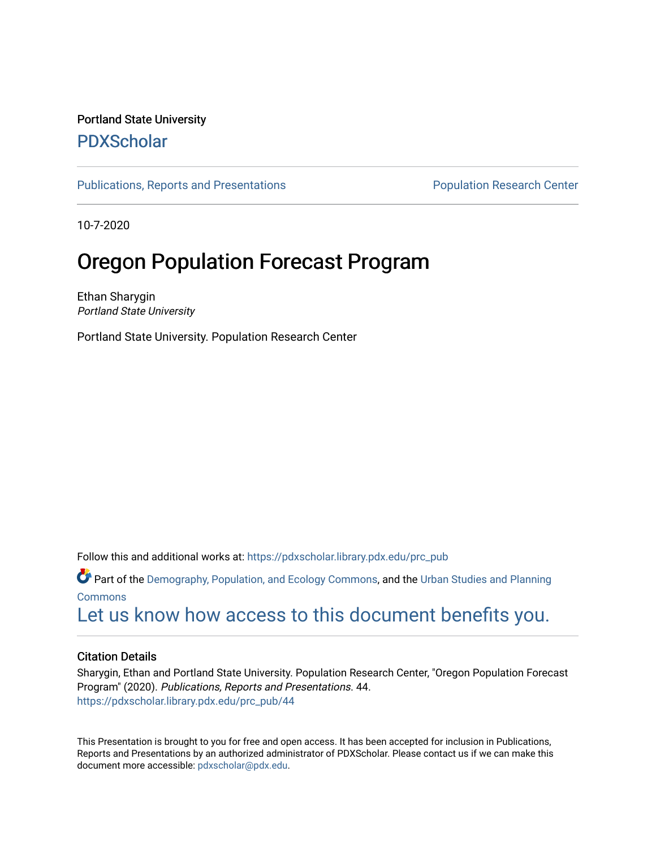#### Portland State University [PDXScholar](https://pdxscholar.library.pdx.edu/)

[Publications, Reports and Presentations](https://pdxscholar.library.pdx.edu/prc_pub) **Propulation Research Center** Population Research Center

10-7-2020

#### **Oregon Population Forecast Program**

Ethan Sharygin Portland State University

Portland State University. Population Research Center

Follow this and additional works at: [https://pdxscholar.library.pdx.edu/prc\\_pub](https://pdxscholar.library.pdx.edu/prc_pub?utm_source=pdxscholar.library.pdx.edu%2Fprc_pub%2F44&utm_medium=PDF&utm_campaign=PDFCoverPages) 

Part of the [Demography, Population, and Ecology Commons,](http://network.bepress.com/hgg/discipline/418?utm_source=pdxscholar.library.pdx.edu%2Fprc_pub%2F44&utm_medium=PDF&utm_campaign=PDFCoverPages) and the [Urban Studies and Planning](http://network.bepress.com/hgg/discipline/436?utm_source=pdxscholar.library.pdx.edu%2Fprc_pub%2F44&utm_medium=PDF&utm_campaign=PDFCoverPages)  [Commons](http://network.bepress.com/hgg/discipline/436?utm_source=pdxscholar.library.pdx.edu%2Fprc_pub%2F44&utm_medium=PDF&utm_campaign=PDFCoverPages)

[Let us know how access to this document benefits you.](http://library.pdx.edu/services/pdxscholar-services/pdxscholar-feedback/?ref=https://pdxscholar.library.pdx.edu/prc_pub/44) 

#### Citation Details

Sharygin, Ethan and Portland State University. Population Research Center, "Oregon Population Forecast Program" (2020). Publications, Reports and Presentations. 44. [https://pdxscholar.library.pdx.edu/prc\\_pub/44](https://pdxscholar.library.pdx.edu/prc_pub/44?utm_source=pdxscholar.library.pdx.edu%2Fprc_pub%2F44&utm_medium=PDF&utm_campaign=PDFCoverPages) 

This Presentation is brought to you for free and open access. It has been accepted for inclusion in Publications, Reports and Presentations by an authorized administrator of PDXScholar. Please contact us if we can make this document more accessible: [pdxscholar@pdx.edu.](mailto:pdxscholar@pdx.edu)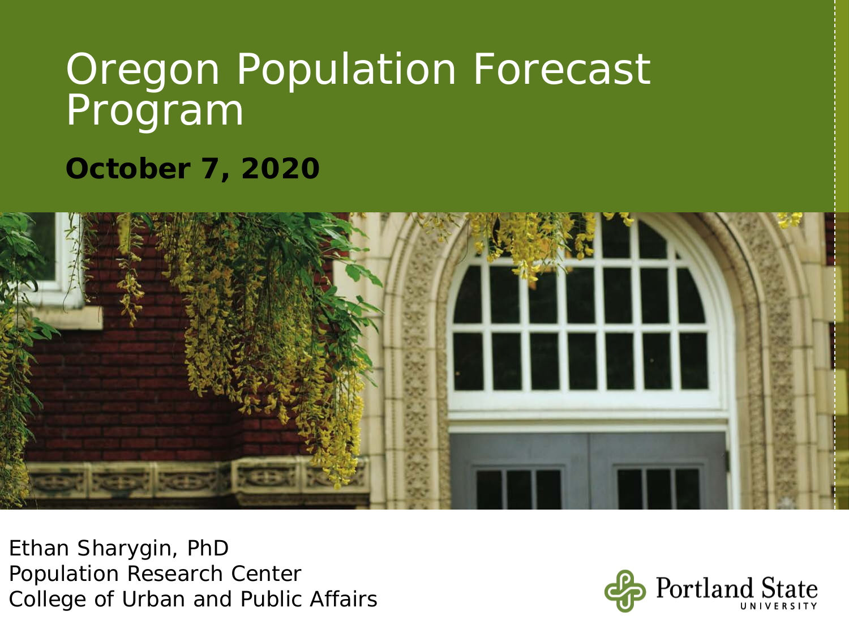# **October 7, 2020**



Ethan Sharygin, PhD Population Research Center College of Urban and Public Affairs

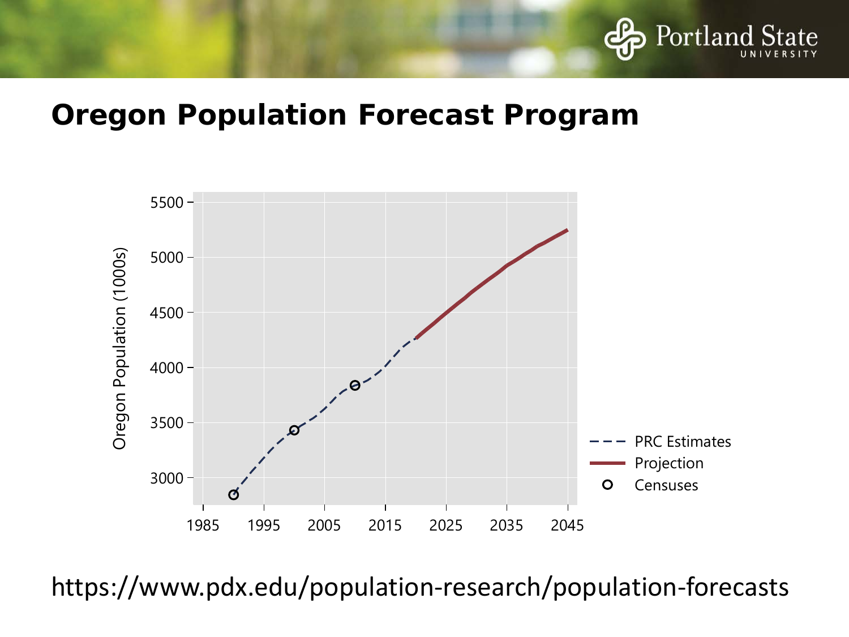



https://www.pdx.edu/population-research/population-forecasts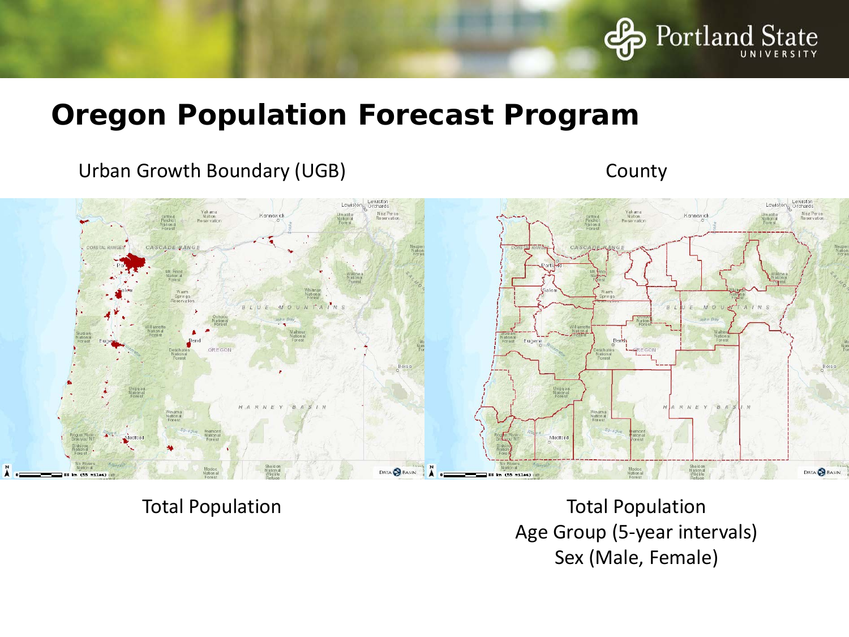

#### Urban Growth Boundary (UGB) County



Total Population Total Population Age Group (5-year intervals) Sex (Male, Female)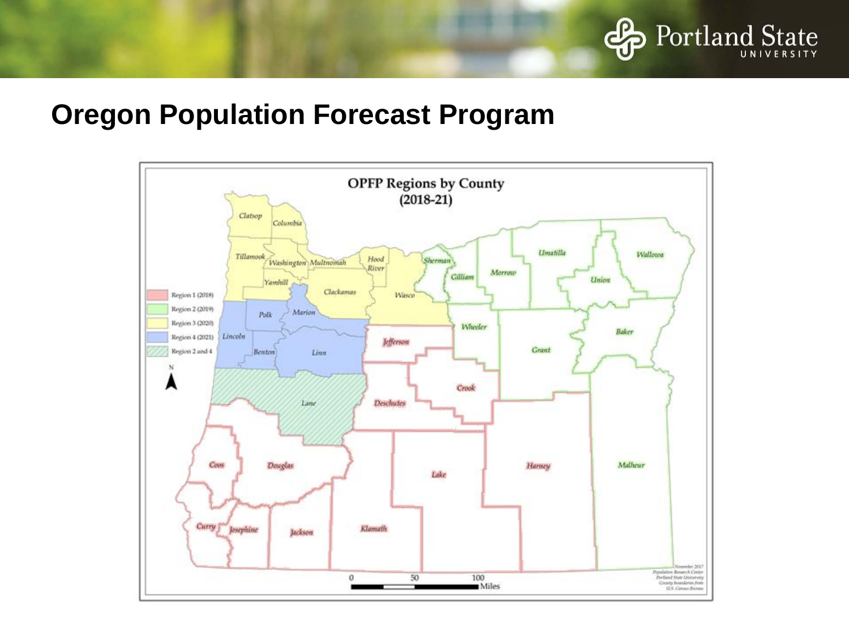

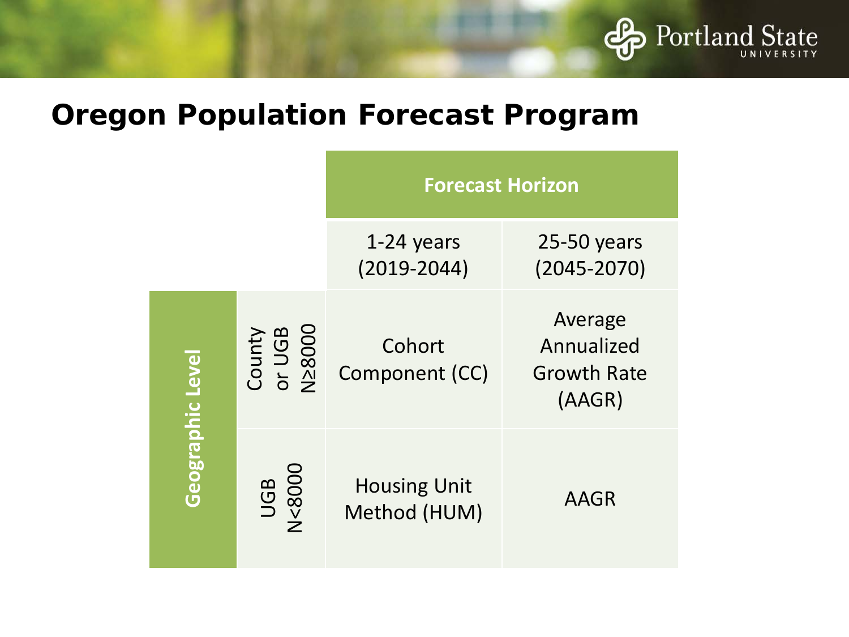

|                  |                            | <b>Forecast Horizon</b>             |                                                       |
|------------------|----------------------------|-------------------------------------|-------------------------------------------------------|
|                  |                            | 1-24 years<br>$(2019 - 2044)$       | $25-50$ years<br>$(2045 - 2070)$                      |
| Geographic Level | County<br>or UGB<br>N≥8000 | Cohort<br>Component (CC)            | Average<br>Annualized<br><b>Growth Rate</b><br>(AAGR) |
|                  | UGB<br>N<8000              | <b>Housing Unit</b><br>Method (HUM) | <b>AAGR</b>                                           |